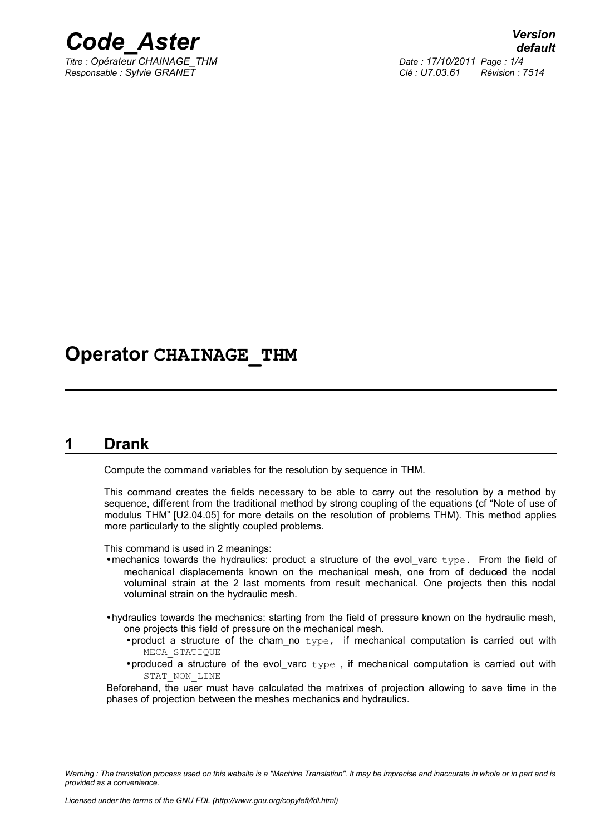

*Titre : Opérateur CHAINAGE\_THM Date : 17/10/2011 Page : 1/4 Responsable : Sylvie GRANET Clé : U7.03.61 Révision : 7514*

### **Operator CHAINAGE\_THM**

#### **1 Drank**

Compute the command variables for the resolution by sequence in THM.

This command creates the fields necessary to be able to carry out the resolution by a method by sequence, different from the traditional method by strong coupling of the equations (cf "Note of use of modulus THM" [U2.04.05] for more details on the resolution of problems THM). This method applies more particularly to the slightly coupled problems.

This command is used in 2 meanings:

- mechanics towards the hydraulics: product a structure of the evol varc type. From the field of mechanical displacements known on the mechanical mesh, one from of deduced the nodal voluminal strain at the 2 last moments from result mechanical. One projects then this nodal voluminal strain on the hydraulic mesh.
- •hydraulics towards the mechanics: starting from the field of pressure known on the hydraulic mesh, one projects this field of pressure on the mechanical mesh.
	- •product a structure of the cham no  $type$ , if mechanical computation is carried out with MECA\_STATIQUE
	- •produced a structure of the evol\_varc type , if mechanical computation is carried out with STAT\_NON\_LINE

Beforehand, the user must have calculated the matrixes of projection allowing to save time in the phases of projection between the meshes mechanics and hydraulics.

*Warning : The translation process used on this website is a "Machine Translation". It may be imprecise and inaccurate in whole or in part and is provided as a convenience.*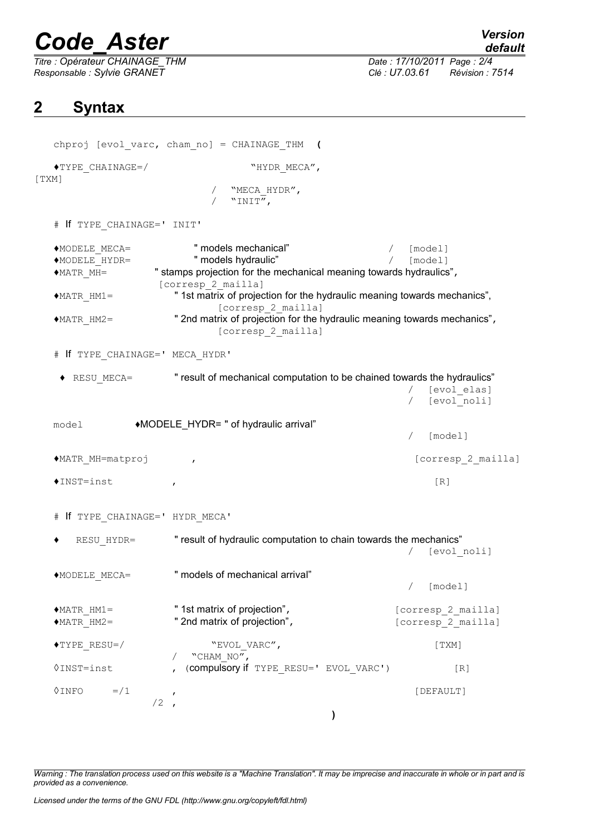# *Code\_Aster Version*

*Titre : Opérateur CHAINAGE\_THM Date : 17/10/2011 Page : 2/4 Responsable : Sylvie GRANET Clé : U7.03.61 Révision : 7514*

### **2 Syntax**

|                                                                                        | chproj [evol varc, cham no] = CHAINAGE THM (                                                   |                           |
|----------------------------------------------------------------------------------------|------------------------------------------------------------------------------------------------|---------------------------|
| $\blacklozenge$ TYPE CHAINAGE=/                                                        | "HYDR MECA",                                                                                   |                           |
| [TXM]                                                                                  | "MECA HYDR",                                                                                   |                           |
|                                                                                        | $"INT"$ ,                                                                                      |                           |
| # If TYPE CHAINAGE=' INIT'                                                             |                                                                                                |                           |
| ◆MODELE MECA=                                                                          | " models mechanical"                                                                           | [model]                   |
| ◆MODELE HYDR=                                                                          | " models hydraulic"                                                                            | [model]                   |
| $*$ MATR MH=                                                                           | " stamps projection for the mechanical meaning towards hydraulics",                            |                           |
|                                                                                        | [corresp 2 mailla]                                                                             |                           |
|                                                                                        |                                                                                                |                           |
| $*$ MATR HM1=                                                                          | " 1st matrix of projection for the hydraulic meaning towards mechanics",<br>[corresp 2 mailla] |                           |
| $MATR$ HM2=                                                                            | " 2nd matrix of projection for the hydraulic meaning towards mechanics",                       |                           |
|                                                                                        | [corresp 2 mailla]                                                                             |                           |
|                                                                                        |                                                                                                |                           |
| # If TYPE CHAINAGE=' MECA HYDR'                                                        |                                                                                                |                           |
| " result of mechanical computation to be chained towards the hydraulics"<br>RESU MECA= |                                                                                                |                           |
|                                                                                        |                                                                                                |                           |
|                                                                                        |                                                                                                | [evol elas]               |
|                                                                                        |                                                                                                | [evol noli]               |
|                                                                                        |                                                                                                |                           |
| model                                                                                  | ◆MODELE_HYDR= " of hydraulic arrival"                                                          |                           |
|                                                                                        |                                                                                                | [model]<br>$\sqrt{2}$     |
|                                                                                        |                                                                                                |                           |
|                                                                                        |                                                                                                |                           |
| ◆MATR MH=matproj                                                                       | $\mathbf{r}$                                                                                   | [corresp 2 mailla]        |
|                                                                                        |                                                                                                |                           |
| $*INST=inst$                                                                           | $\mathbf{r}$                                                                                   | [R]                       |
|                                                                                        |                                                                                                |                           |
| # If TYPE CHAINAGE=' HYDR MECA'                                                        |                                                                                                |                           |
|                                                                                        |                                                                                                |                           |
| " result of hydraulic computation to chain towards the mechanics"<br>RESU HYDR=        |                                                                                                |                           |
|                                                                                        |                                                                                                |                           |
|                                                                                        |                                                                                                | [evol noli]<br>$\sqrt{2}$ |
|                                                                                        |                                                                                                |                           |
| $\bullet \texttt{MODELE\_MECA=}$                                                       | " models of mechanical arrival"                                                                |                           |
|                                                                                        |                                                                                                | [model]                   |
|                                                                                        |                                                                                                |                           |
| $*$ MATR HM1=                                                                          | " 1st matrix of projection",                                                                   | [corresp 2 mailla]        |
|                                                                                        | " 2nd matrix of projection",                                                                   | [corresp 2 mailla]        |
| $MATR$ HM2=                                                                            |                                                                                                |                           |
|                                                                                        |                                                                                                |                           |
| $\blacklozenge$ TYPE RESU=/                                                            | "EVOL VARC",                                                                                   | [TXM]                     |
|                                                                                        | "CHAM NO",                                                                                     |                           |
| $\lozenge$ INST=inst                                                                   | (compulsory if TYPE_RESU=' EVOL_VARC')                                                         | [R]                       |
|                                                                                        |                                                                                                |                           |
| $=$ / 1<br>$\lozenge$ INFO                                                             | $\mathbf{r}$                                                                                   | [DEFAULT]                 |
|                                                                                        | $/2$ ,                                                                                         |                           |
|                                                                                        |                                                                                                |                           |

*Warning : The translation process used on this website is a "Machine Translation". It may be imprecise and inaccurate in whole or in part and is provided as a convenience.*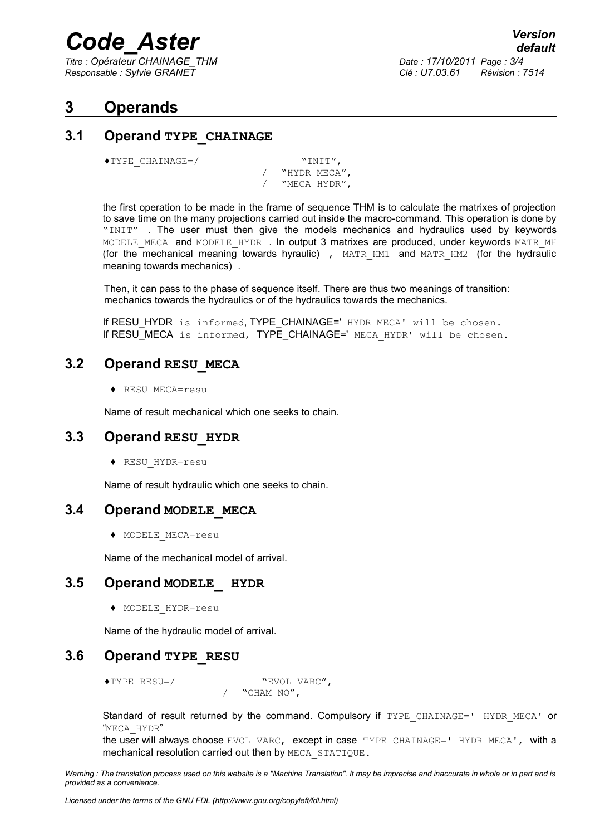## *Code\_Aster Version*

*Titre : Opérateur CHAINAGE\_THM Date : 17/10/2011 Page : 3/4 Responsable : Sylvie GRANET Clé : U7.03.61 Révision : 7514*

#### **3 Operands**

#### **3.1 Operand TYPE\_CHAINAGE**

♦TYPE\_CHAINAGE=/ "INIT",

/ "HYDR\_MECA", / "MECA\_HYDR",

the first operation to be made in the frame of sequence THM is to calculate the matrixes of projection to save time on the many projections carried out inside the macro-command. This operation is done by "INIT" . The user must then give the models mechanics and hydraulics used by keywords MODELE MECA and MODELE HYDR . In output 3 matrixes are produced, under keywords MATR MH (for the mechanical meaning towards hyraulic), MATR HM1 and MATR HM2 (for the hydraulic meaning towards mechanics) .

Then, it can pass to the phase of sequence itself. There are thus two meanings of transition: mechanics towards the hydraulics or of the hydraulics towards the mechanics.

If RESU HYDR is informed, TYPE CHAINAGE=' HYDR MECA' will be chosen. If RESU\_MECA is informed, TYPE\_CHAINAGE=' MECA\_HYDR' will be chosen.

#### **3.2 Operand RESU\_MECA**

♦ RESU\_MECA=resu

Name of result mechanical which one seeks to chain.

#### **3.3 Operand RESU\_HYDR**

♦ RESU\_HYDR=resu

Name of result hydraulic which one seeks to chain.

#### **3.4 Operand MODELE\_MECA**

♦ MODELE\_MECA=resu

Name of the mechanical model of arrival.

#### **3.5 Operand MODELE\_ HYDR**

♦ MODELE\_HYDR=resu

Name of the hydraulic model of arrival.

#### **3.6 Operand TYPE\_RESU**

♦TYPE\_RESU=/ "EVOL\_VARC",

"CHAM  $\overline{NO''}$ ,

Standard of result returned by the command. Compulsory if TYPE CHAINAGE=' HYDR MECA' or "MECA\_HYDR"

the user will always choose EVOL VARC, except in case TYPE CHAINAGE=' HYDR MECA', with a mechanical resolution carried out then by MECA\_STATIQUE.

*Warning : The translation process used on this website is a "Machine Translation". It may be imprecise and inaccurate in whole or in part and is provided as a convenience.*